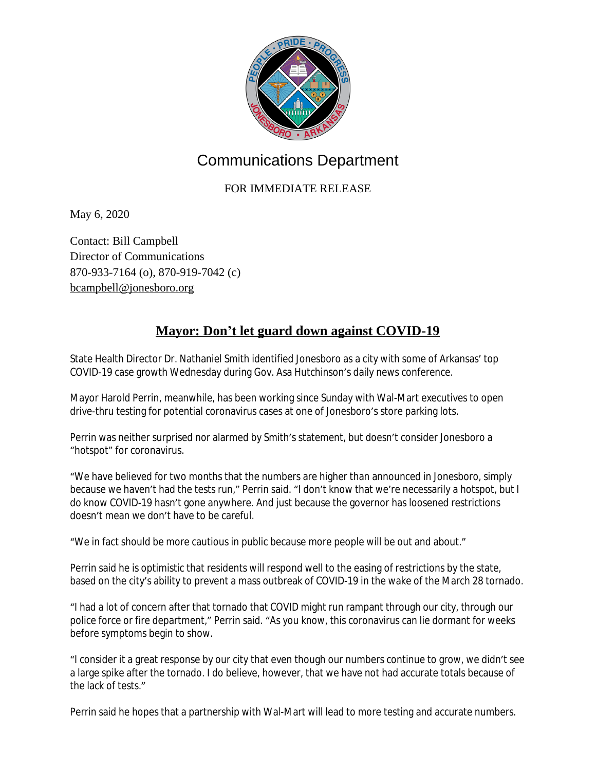

## Communications Department

## FOR IMMEDIATE RELEASE

May 6, 2020

Contact: Bill Campbell Director of Communications 870-933-7164 (o), 870-919-7042 (c) [bcampbell@jonesboro.org](mailto:bcampbell@jonesboro.org)

## **Mayor: Don't let guard down against COVID-19**

State Health Director Dr. Nathaniel Smith identified Jonesboro as a city with some of Arkansas' top COVID-19 case growth Wednesday during Gov. Asa Hutchinson's daily news conference.

Mayor Harold Perrin, meanwhile, has been working since Sunday with Wal-Mart executives to open drive-thru testing for potential coronavirus cases at one of Jonesboro's store parking lots.

Perrin was neither surprised nor alarmed by Smith's statement, but doesn't consider Jonesboro a "hotspot" for coronavirus.

"We have believed for two months that the numbers are higher than announced in Jonesboro, simply because we haven't had the tests run," Perrin said. "I don't know that we're necessarily a hotspot, but I do know COVID-19 hasn't gone anywhere. And just because the governor has loosened restrictions doesn't mean we don't have to be careful.

"We in fact should be more cautious in public because more people will be out and about."

Perrin said he is optimistic that residents will respond well to the easing of restrictions by the state, based on the city's ability to prevent a mass outbreak of COVID-19 in the wake of the March 28 tornado.

"I had a lot of concern after that tornado that COVID might run rampant through our city, through our police force or fire department," Perrin said. "As you know, this coronavirus can lie dormant for weeks before symptoms begin to show.

"I consider it a great response by our city that even though our numbers continue to grow, we didn't see a large spike after the tornado. I do believe, however, that we have not had accurate totals because of the lack of tests."

Perrin said he hopes that a partnership with Wal-Mart will lead to more testing and accurate numbers.